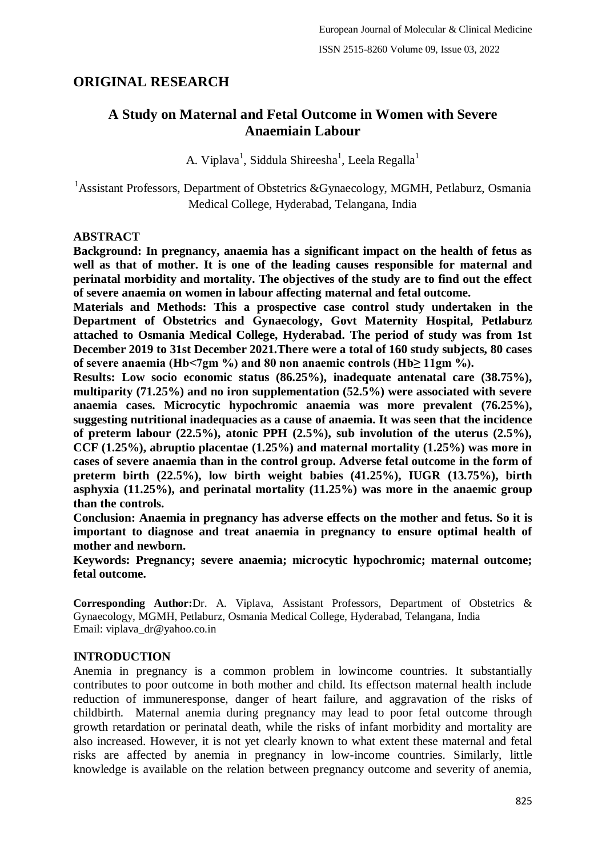# **ORIGINAL RESEARCH**

# **A Study on Maternal and Fetal Outcome in Women with Severe Anaemiain Labour**

A. Viplava $^1$ , Siddula Shireesha $^1$ , Leela Regalla $^1$ 

<sup>1</sup>Assistant Professors, Department of Obstetrics &Gynaecology, MGMH, Petlaburz, Osmania Medical College, Hyderabad, Telangana, India

# **ABSTRACT**

**Background: In pregnancy, anaemia has a significant impact on the health of fetus as well as that of mother. It is one of the leading causes responsible for maternal and perinatal morbidity and mortality. The objectives of the study are to find out the effect of severe anaemia on women in labour affecting maternal and fetal outcome.**

**Materials and Methods: This a prospective case control study undertaken in the Department of Obstetrics and Gynaecology, Govt Maternity Hospital, Petlaburz attached to Osmania Medical College, Hyderabad. The period of study was from 1st December 2019 to 31st December 2021.There were a total of 160 study subjects, 80 cases of severe anaemia (Hb<7gm %) and 80 non anaemic controls (Hb≥ 11gm %).**

**Results: Low socio economic status (86.25%), inadequate antenatal care (38.75%), multiparity (71.25%) and no iron supplementation (52.5%) were associated with severe anaemia cases. Microcytic hypochromic anaemia was more prevalent (76.25%), suggesting nutritional inadequacies as a cause of anaemia. It was seen that the incidence of preterm labour (22.5%), atonic PPH (2.5%), sub involution of the uterus (2.5%), CCF (1.25%), abruptio placentae (1.25%) and maternal mortality (1.25%) was more in cases of severe anaemia than in the control group. Adverse fetal outcome in the form of preterm birth (22.5%), low birth weight babies (41.25%), IUGR (13.75%), birth asphyxia (11.25%), and perinatal mortality (11.25%) was more in the anaemic group than the controls.**

**Conclusion: Anaemia in pregnancy has adverse effects on the mother and fetus. So it is important to diagnose and treat anaemia in pregnancy to ensure optimal health of mother and newborn.**

**Keywords: Pregnancy; severe anaemia; microcytic hypochromic; maternal outcome; fetal outcome.**

**Corresponding Author:**Dr. A. Viplava, Assistant Professors, Department of Obstetrics & Gynaecology, MGMH, Petlaburz, Osmania Medical College, Hyderabad, Telangana, India Email: viplava\_dr@yahoo.co.in

### **INTRODUCTION**

Anemia in pregnancy is a common problem in lowincome countries. It substantially contributes to poor outcome in both mother and child. Its effectson maternal health include reduction of immuneresponse, danger of heart failure, and aggravation of the risks of childbirth. Maternal anemia during pregnancy may lead to poor fetal outcome through growth retardation or perinatal death, while the risks of infant morbidity and mortality are also increased. However, it is not yet clearly known to what extent these maternal and fetal risks are affected by anemia in pregnancy in low-income countries. Similarly, little knowledge is available on the relation between pregnancy outcome and severity of anemia,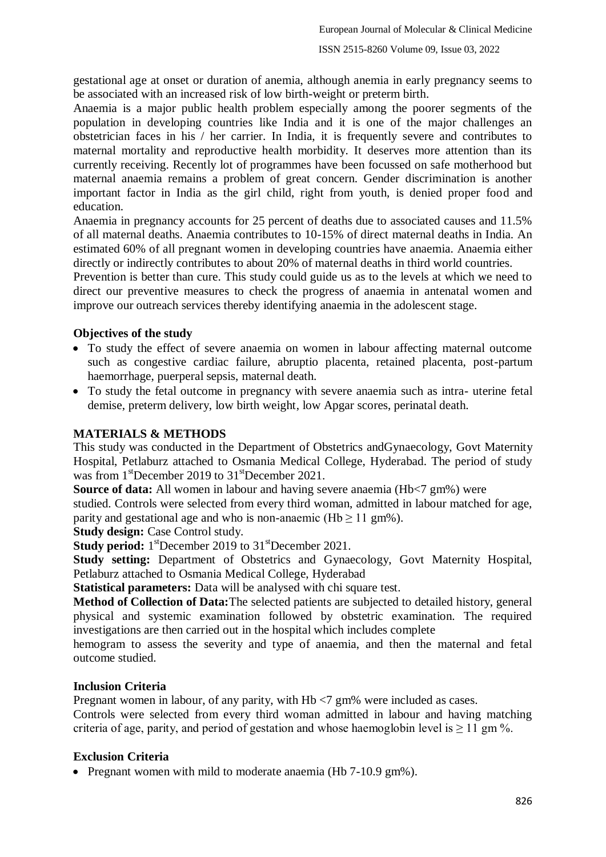gestational age at onset or duration of anemia, although anemia in early pregnancy seems to be associated with an increased risk of low birth-weight or preterm birth.

Anaemia is a major public health problem especially among the poorer segments of the population in developing countries like India and it is one of the major challenges an obstetrician faces in his / her carrier. In India, it is frequently severe and contributes to maternal mortality and reproductive health morbidity. It deserves more attention than its currently receiving. Recently lot of programmes have been focussed on safe motherhood but maternal anaemia remains a problem of great concern. Gender discrimination is another important factor in India as the girl child, right from youth, is denied proper food and education.

Anaemia in pregnancy accounts for 25 percent of deaths due to associated causes and 11.5% of all maternal deaths. Anaemia contributes to 10-15% of direct maternal deaths in India. An estimated 60% of all pregnant women in developing countries have anaemia. Anaemia either directly or indirectly contributes to about 20% of maternal deaths in third world countries.

Prevention is better than cure. This study could guide us as to the levels at which we need to direct our preventive measures to check the progress of anaemia in antenatal women and improve our outreach services thereby identifying anaemia in the adolescent stage.

# **Objectives of the study**

- To study the effect of severe anaemia on women in labour affecting maternal outcome such as congestive cardiac failure, abruptio placenta, retained placenta, post-partum haemorrhage, puerperal sepsis, maternal death.
- To study the fetal outcome in pregnancy with severe anaemia such as intra- uterine fetal demise, preterm delivery, low birth weight, low Apgar scores, perinatal death.

# **MATERIALS & METHODS**

This study was conducted in the Department of Obstetrics andGynaecology, Govt Maternity Hospital, Petlaburz attached to Osmania Medical College, Hyderabad. The period of study was from  $1^{\text{st}}$ December 2019 to  $31^{\text{st}}$ December 2021.

**Source of data:** All women in labour and having severe anaemia (Hb<7 gm%) were

studied. Controls were selected from every third woman, admitted in labour matched for age, parity and gestational age and who is non-anaemic (Hb  $\geq$  11 gm%).

**Study design:** Case Control study.

Study period: 1<sup>st</sup>December 2019 to 31<sup>st</sup>December 2021.

**Study setting:** Department of Obstetrics and Gynaecology, Govt Maternity Hospital, Petlaburz attached to Osmania Medical College, Hyderabad

**Statistical parameters:** Data will be analysed with chi square test.

**Method of Collection of Data:**The selected patients are subjected to detailed history, general physical and systemic examination followed by obstetric examination. The required investigations are then carried out in the hospital which includes complete

hemogram to assess the severity and type of anaemia, and then the maternal and fetal outcome studied.

# **Inclusion Criteria**

Pregnant women in labour, of any parity, with Hb <7 gm% were included as cases.

Controls were selected from every third woman admitted in labour and having matching criteria of age, parity, and period of gestation and whose haemoglobin level is  $\geq 11$  gm %.

# **Exclusion Criteria**

• Pregnant women with mild to moderate anaemia (Hb 7-10.9 gm%).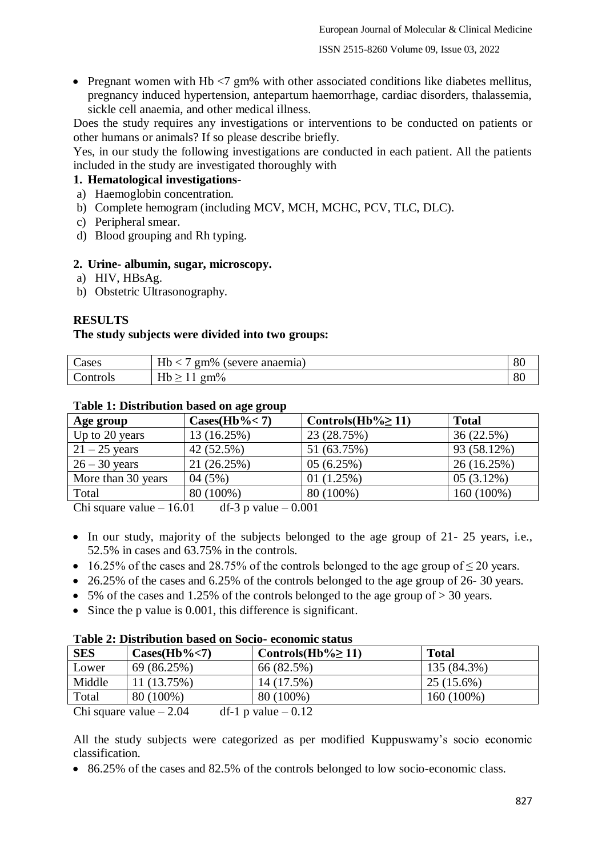• Pregnant women with Hb  $\langle 7 \text{ gm}\%$  with other associated conditions like diabetes mellitus, pregnancy induced hypertension, antepartum haemorrhage, cardiac disorders, thalassemia, sickle cell anaemia, and other medical illness.

Does the study requires any investigations or interventions to be conducted on patients or other humans or animals? If so please describe briefly.

Yes, in our study the following investigations are conducted in each patient. All the patients included in the study are investigated thoroughly with

# **1. Hematological investigations-**

- a) Haemoglobin concentration.
- b) Complete hemogram (including MCV, MCH, MCHC, PCV, TLC, DLC).
- c) Peripheral smear.
- d) Blood grouping and Rh typing.

#### **2. Urine- albumin, sugar, microscopy.**

- a) HIV, HBsAg.
- b) Obstetric Ultrasonography.

### **RESULTS**

#### **The study subjects were divided into two groups:**

| ~<br>Cases | $T$ $T1$<br>$\sigma$ m%<br>anaemia)<br>severe.<br>Hb | or<br>οU |
|------------|------------------------------------------------------|----------|
| ontrols    | $T$ $T1$<br>$gm\%$<br>ı<br>-                         | or<br>οU |

#### **Table 1: Distribution based on age group**

| Age group                                   | $\text{Cases}(\text{Hb}\%<7)$ | Controls(Hb% $\geq$ 11) | <b>Total</b> |  |  |
|---------------------------------------------|-------------------------------|-------------------------|--------------|--|--|
| Up to 20 years                              | 13 (16.25%)                   | 23 (28.75%)             | 36(22.5%)    |  |  |
| $21 - 25$ years                             | 42 (52.5%)                    | 51 (63.75%)             | 93 (58.12%)  |  |  |
| $26 - 30$ years                             | 21 (26.25%)                   | 05(6.25%)               | 26 (16.25%)  |  |  |
| More than 30 years                          | 04(5%)                        | 01(1.25%)               | 05(3.12%)    |  |  |
| Total                                       | 80 (100%)                     | 80 (100%)               | 160 (100%)   |  |  |
| $\Omega$ . $\Omega$<br>$10.2 + 1.2 - 0.001$ |                               |                         |              |  |  |

Chi square value  $-16.01$  df-3 p value  $-0.001$ 

- In our study, majority of the subjects belonged to the age group of 21-25 years, i.e., 52.5% in cases and 63.75% in the controls.
- 16.25% of the cases and 28.75% of the controls belonged to the age group of  $\leq$  20 years.
- 26.25% of the cases and 6.25% of the controls belonged to the age group of 26-30 years.
- $\bullet$  5% of the cases and 1.25% of the controls belonged to the age group of  $> 30$  years.
- Since the p value is 0.001, this difference is significant.

#### **Table 2: Distribution based on Socio- economic status**

| <b>SES</b> | $\text{Cases}(\text{Hb}\%<7)$ | Controls(Hb% $\geq$ 11)              | Total        |
|------------|-------------------------------|--------------------------------------|--------------|
| Lower      | 69 (86.25%)                   | 66 (82.5%)                           | 135 (84.3%)  |
| Middle     | 11 (13.75%)                   | 14 (17.5%)                           | $25(15.6\%)$ |
| Total      | 80 (100%)                     | 80 (100%)                            | 160 (100%)   |
|            | Chi square value $= 2.04$     | $df_1 \cdot \textbf{n}$ value = 0.12 |              |

Chi square value  $-2.04$  df-1 p value  $-0.12$ 

All the study subjects were categorized as per modified Kuppuswamy's socio economic classification.

• 86.25% of the cases and 82.5% of the controls belonged to low socio-economic class.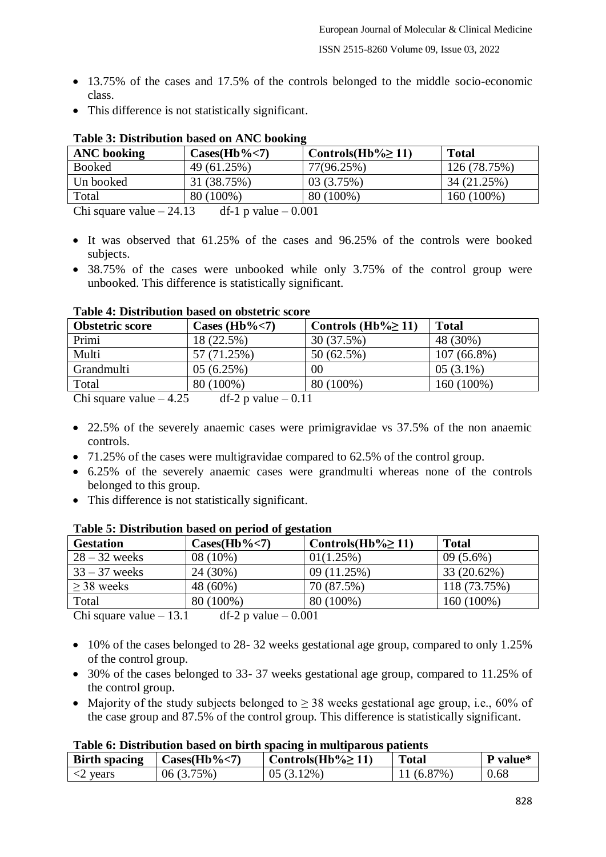- 13.75% of the cases and 17.5% of the controls belonged to the middle socio-economic class.
- This difference is not statistically significant.

| <b>ANC</b> booking               | $\text{Cases}(\text{Hb}\%<7)$ | Controls(Hb% $\geq$ 11) | <b>Total</b> |  |  |
|----------------------------------|-------------------------------|-------------------------|--------------|--|--|
| <b>Booked</b>                    | 49 (61.25%)                   | 77(96.25%)              | 126 (78.75%) |  |  |
| Un booked                        | 31 (38.75%)                   | 03 (3.75%)              | 34 (21.25%)  |  |  |
| Total                            | 80 (100%)                     | 80 (100%)               | 160 (100%)   |  |  |
| $\sum_{i=1}^{n}$<br>$\bigcap$ 12 | $\lambda$ f 1 $\mu$ value     | $\bigcap$ $\bigcap$ 1   |              |  |  |

# **Table 3: Distribution based on ANC booking**

Chi square value  $-24.13$  df-1 p value  $-0.001$ 

- $\bullet$  It was observed that 61.25% of the cases and 96.25% of the controls were booked subjects.
- 38.75% of the cases were unbooked while only 3.75% of the control group were unbooked. This difference is statistically significant.

| <b>Obstetric score</b> | Cases (Hb% $<$ 7) | Controls (Hb% $\geq$ 11) | <b>Total</b>  |  |  |
|------------------------|-------------------|--------------------------|---------------|--|--|
| Primi                  | 18 (22.5%)        | 30 (37.5%)               | 48 (30%)      |  |  |
| Multi                  | 57 (71.25%)       | 50(62.5%)                | $107(66.8\%)$ |  |  |
| Grandmulti             | 05(6.25%)         | 00                       | $05(3.1\%)$   |  |  |
| Total                  | 80 (100%)         | 80 (100%)                | 160 (100%)    |  |  |
| $\Omega$ . $\Omega$    | $10.2 - 1 - 0.11$ |                          |               |  |  |

### **Table 4: Distribution based on obstetric score**

Chi square value  $-4.25$  df-2 p value  $-0.11$ 

- 22.5% of the severely anaemic cases were primigravidae vs 37.5% of the non anaemic controls.
- 71.25% of the cases were multigravidae compared to 62.5% of the control group.
- 6.25% of the severely anaemic cases were grandmulti whereas none of the controls belonged to this group.
- This difference is not statistically significant.

| <b>Gestation</b>                                  | $\text{Cases}(\text{Hb}\%<7)$                                     | Controls(Hb% $\geq$ 11) | <b>Total</b> |
|---------------------------------------------------|-------------------------------------------------------------------|-------------------------|--------------|
| $28 - 32$ weeks                                   | 08 (10%)                                                          | 01(1.25%)               | $09(5.6\%)$  |
| $33 - 37$ weeks                                   | 24 (30%)                                                          | 09 (11.25%)             | 33 (20.62%)  |
| $>$ 38 weeks                                      | 48 (60%)                                                          | 70 (87.5%)              | 118 (73.75%) |
| Total                                             | 80 (100%)                                                         | 80 (100%)               | 160 (100%)   |
| $\sum_{n=1}^{\infty}$ concave realize $\sim$ 12.1 | $\lim_{n \to \infty}$ $\lim_{n \to \infty}$ $\lim_{n \to \infty}$ |                         |              |

# **Table 5: Distribution based on period of gestation**

Chi square value  $-13.1$  df-2 p value  $-0.001$ 

- 10% of the cases belonged to 28-32 weeks gestational age group, compared to only 1.25% of the control group.
- 30% of the cases belonged to 33-37 weeks gestational age group, compared to 11.25% of the control group.
- Majority of the study subjects belonged to  $\geq$  38 weeks gestational age group, i.e., 60% of the case group and 87.5% of the control group. This difference is statistically significant.

# **Table 6: Distribution based on birth spacing in multiparous patients**

| <b>Birth spacing</b> | Cases(Hb%<7) | Controls(Hb% $\geq$ 11) | <b>Total</b>   | value* |
|----------------------|--------------|-------------------------|----------------|--------|
| vears                | '5%.<br>J6.  | $12\%$ .                | $87\%$ ,<br>68 | 0.68   |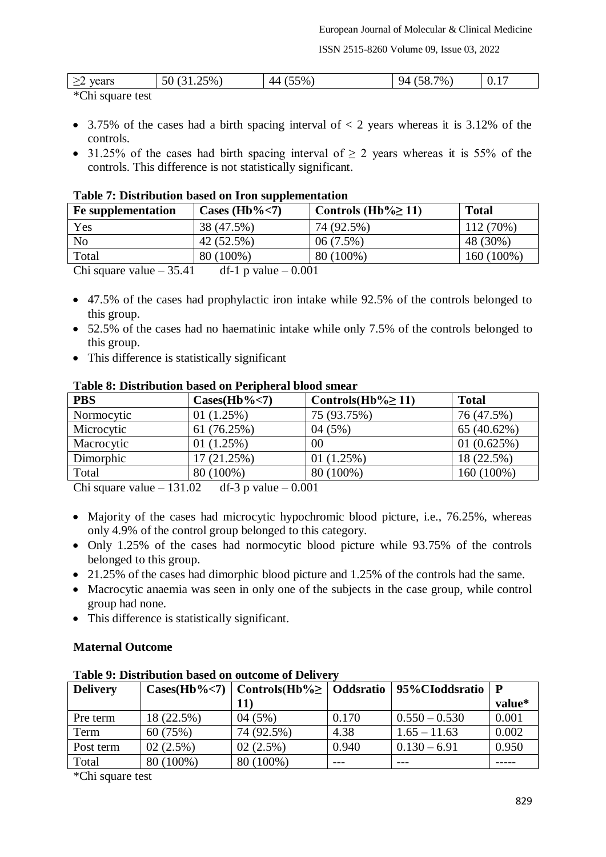ISSN 2515-8260 Volume 09, Issue 03, 2022

| vears               | $1.25\%$ )<br>◡<br>ັ | $5\%$<br>44 | $7\%$<br>чд<br>.30. <sub>1</sub> | V·1 |
|---------------------|----------------------|-------------|----------------------------------|-----|
| $*$ Chi square test |                      |             |                                  |     |

\*Chi square test

- $\bullet$  3.75% of the cases had a birth spacing interval of  $\lt 2$  years whereas it is 3.12% of the controls.
- 31.25% of the cases had birth spacing interval of  $\geq 2$  years whereas it is 55% of the controls. This difference is not statistically significant.

### **Table 7: Distribution based on Iron supplementation**

| <b>Fe</b> supplementation  | Cases (Hb% $<$ 7)                       | Controls (Hb% $\geq$ 11) | <b>Total</b> |
|----------------------------|-----------------------------------------|--------------------------|--------------|
| Yes                        | 38 (47.5%)                              | 74 (92.5%)               | 112 (70%)    |
| N <sub>o</sub>             | 42 (52.5%)                              | $06(7.5\%)$              | 48 (30%)     |
| Total                      | 80 (100%)                               | 80 (100%)                | 160 (100%)   |
| $Chi$ causes value $25/11$ | $\det$ 1 p volvo<br>$\Omega$ $\Omega$ 1 |                          |              |

Chi square value  $-35.41$  df-1 p value  $-0.001$ 

- 47.5% of the cases had prophylactic iron intake while 92.5% of the controls belonged to this group.
- 52.5% of the cases had no haematinic intake while only 7.5% of the controls belonged to this group.
- This difference is statistically significant

# **PBS Cases(Hb%<7) Controls(Hb%≥ 11) Total** Normocytic  $\begin{array}{|l|l|}\n\hline\n01 (1.25%) & 75 (93.75%) & 76 (47.5%)\n\hline\n\end{array}$ Microcytic 61 (76.25%) 04 (5%) 65 (40.62%) Macrocytic 01 (1.25%) 00 01 (0.625%) Dimorphic  $17 (21.25%)$   $01 (1.25%)$   $18 (22.5%)$ Total 80 (100%) 80 (100%) 80 (100%) 160 (100%)

### **Table 8: Distribution based on Peripheral blood smear**

Chi square value  $-131.02$  df-3 p value  $-0.001$ 

- Majority of the cases had microcytic hypochromic blood picture, i.e., 76.25%, whereas only 4.9% of the control group belonged to this category.
- Only 1.25% of the cases had normocytic blood picture while 93.75% of the controls belonged to this group.
- 21.25% of the cases had dimorphic blood picture and 1.25% of the controls had the same.
- Macrocytic anaemia was seen in only one of the subjects in the case group, while control group had none.
- This difference is statistically significant.

# **Maternal Outcome**

| Table 2. Distribution based on outcome of Denvery |            |                                                                           |       |                 |             |
|---------------------------------------------------|------------|---------------------------------------------------------------------------|-------|-----------------|-------------|
| <b>Delivery</b>                                   |            | $\text{Cases(Hb\%} \le 7)$   Controls(Hb\%)   Oddsratio   95\%CIoddsratio |       |                 | $\mathbf P$ |
|                                                   |            | <b>11</b> )                                                               |       |                 | value*      |
| Pre term                                          | 18 (22.5%) | 04(5%)                                                                    | 0.170 | $0.550 - 0.530$ | 0.001       |
| Term                                              | 60(75%)    | 74 (92.5%)                                                                | 4.38  | $1.65 - 11.63$  | 0.002       |
| Post term                                         | 02(2.5%)   | $02(2.5\%)$                                                               | 0.940 | $0.130 - 6.91$  | 0.950       |
| Total                                             | 80 (100%)  | 80 (100%)                                                                 |       |                 |             |

**Table 9: Distribution based on outcome of Delivery**

\*Chi square test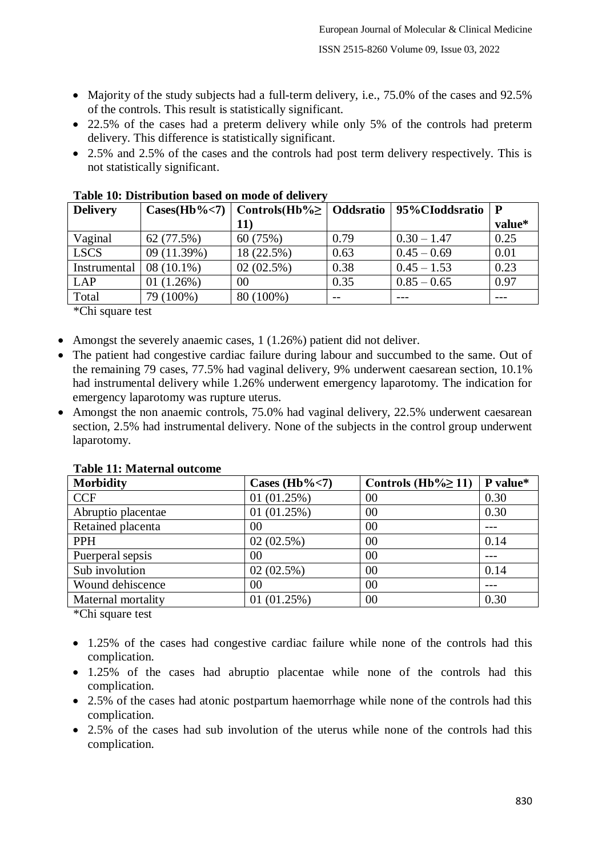- Majority of the study subjects had a full-term delivery, i.e., 75.0% of the cases and 92.5% of the controls. This result is statistically significant.
- 22.5% of the cases had a preterm delivery while only 5% of the controls had preterm delivery. This difference is statistically significant.
- 2.5% and 2.5% of the cases and the controls had post term delivery respectively. This is not statistically significant.

| <b>Delivery</b> | $\text{Cases(Hb\%}<7)$ |              |      | Controls (Hb% $\geq$   Oddsratio   95% CIoddsratio | $\mathbf P$ |
|-----------------|------------------------|--------------|------|----------------------------------------------------|-------------|
|                 |                        | <b>11</b> )  |      |                                                    | value*      |
| Vaginal         | 62 (77.5%)             | 60 (75%)     | 0.79 | $0.30 - 1.47$                                      | 0.25        |
| <b>LSCS</b>     | 09 (11.39%)            | 18 (22.5%)   | 0.63 | $0.45 - 0.69$                                      | 0.01        |
| Instrumental    | $08(10.1\%)$           | $02(02.5\%)$ | 0.38 | $0.45 - 1.53$                                      | 0.23        |
| LAP             | 01(1.26%)              | 00           | 0.35 | $0.85 - 0.65$                                      | 0.97        |
| Total           | 79 (100%)              | 80 (100%)    | $ -$ |                                                    |             |

**Table 10: Distribution based on mode of delivery**

\*Chi square test

- Amongst the severely anaemic cases, 1 (1.26%) patient did not deliver.
- The patient had congestive cardiac failure during labour and succumbed to the same. Out of the remaining 79 cases, 77.5% had vaginal delivery, 9% underwent caesarean section, 10.1% had instrumental delivery while 1.26% underwent emergency laparotomy. The indication for emergency laparotomy was rupture uterus.
- Amongst the non anaemic controls, 75.0% had vaginal delivery, 22.5% underwent caesarean section, 2.5% had instrumental delivery. None of the subjects in the control group underwent laparotomy.

| Tabic TT. Malchiai valcome |                   |                          |          |
|----------------------------|-------------------|--------------------------|----------|
| <b>Morbidity</b>           | Cases (Hb% $<$ 7) | Controls (Hb% $\geq$ 11) | P value* |
| <b>CCF</b>                 | 01(01.25%)        | 00                       | 0.30     |
| Abruptio placentae         | 01(01.25%)        | 00                       | 0.30     |
| Retained placenta          | 00                | 00                       |          |
| <b>PPH</b>                 | 02(02.5%)         | 00                       | 0.14     |
| Puerperal sepsis           | 00                | 00                       |          |
| Sub involution             | 02(02.5%)         | 00                       | 0.14     |
| Wound dehiscence           | 00                | 00                       |          |
| Maternal mortality         | 01(01.25%)        | 00                       | 0.30     |
| .                          |                   |                          |          |

**Table 11: Maternal outcome**

\*Chi square test

- 1.25% of the cases had congestive cardiac failure while none of the controls had this complication.
- 1.25% of the cases had abruptio placentae while none of the controls had this complication.
- 2.5% of the cases had atonic postpartum haemorrhage while none of the controls had this complication.
- 2.5% of the cases had sub involution of the uterus while none of the controls had this complication.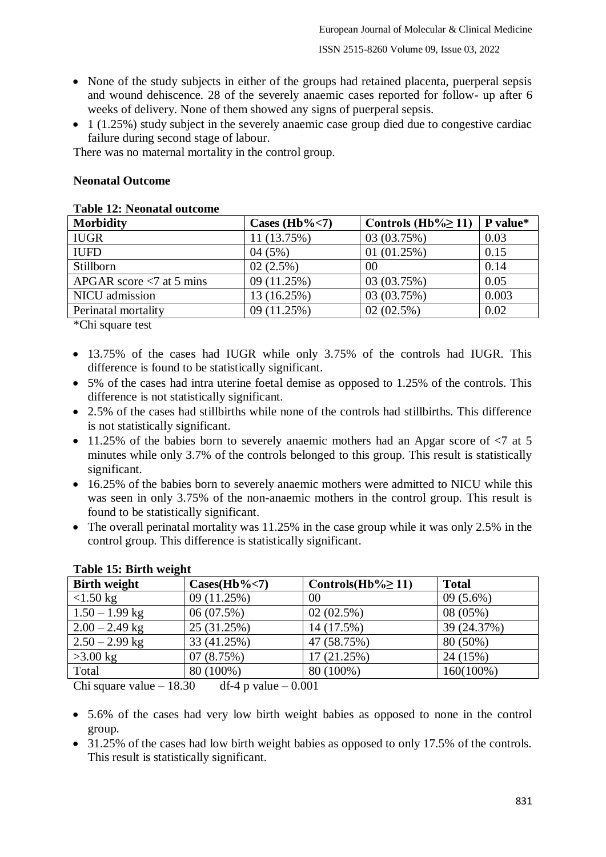#### ISSN 2515-8260 Volume 09, Issue 03, 2022

- None of the study subjects in either of the groups had retained placenta, puerperal sepsis and wound dehiscence. 28 of the severely anaemic cases reported for follow- up after 6 weeks of delivery. None of them showed any signs of puerperal sepsis.
- 1 (1.25%) study subject in the severely anaemic case group died due to congestive cardiac failure during second stage of labour.

There was no maternal mortality in the control group.

#### **Neonatal Outcome**

# **Table 12: Neonatal outcome**

| <b>Morbidity</b>            | Cases (Hb% $<$ 7) | Controls (Hb% $\geq$ 11) | P value* |
|-----------------------------|-------------------|--------------------------|----------|
| <b>IUGR</b>                 | 11 (13.75%)       | 03 (03.75%)              | 0.03     |
| <b>IUFD</b>                 | 04(5%)            | 01(01.25%)               | 0.15     |
| Stillborn                   | 02(2.5%)          | 00                       | 0.14     |
| APGAR score $< 7$ at 5 mins | 09 (11.25%)       | 03 (03.75%)              | 0.05     |
| NICU admission              | 13 (16.25%)       | 03 (03.75%)              | 0.003    |
| Perinatal mortality         | 09 (11.25%)       | 02(02.5%)                | 0.02     |
|                             |                   |                          |          |

\*Chi square test

- 13.75% of the cases had IUGR while only 3.75% of the controls had IUGR. This difference is found to be statistically significant.
- 5% of the cases had intra uterine foetal demise as opposed to 1.25% of the controls. This difference is not statistically significant.
- 2.5% of the cases had stillbirths while none of the controls had stillbirths. This difference is not statistically significant.
- $\bullet$  11.25% of the babies born to severely anaemic mothers had an Apgar score of  $\leq 7$  at 5 minutes while only 3.7% of the controls belonged to this group. This result is statistically significant.
- 16.25% of the babies born to severely anaemic mothers were admitted to NICU while this was seen in only 3.75% of the non-anaemic mothers in the control group. This result is found to be statistically significant.
- The overall perinatal mortality was 11.25% in the case group while it was only 2.5% in the control group. This difference is statistically significant.

| rabic revention weight |                               |                         |              |  |
|------------------------|-------------------------------|-------------------------|--------------|--|
| <b>Birth weight</b>    | $\text{Cases}(\text{Hb}\%<7)$ | Controls(Hb% $\geq$ 11) | <b>Total</b> |  |
| $<1.50$ kg             | 09 (11.25%)                   | 00                      | $09(5.6\%)$  |  |
| $1.50 - 1.99$ kg       | 06(07.5%)                     | 02(02.5%)               | 08 (05%)     |  |
| $2.00 - 2.49$ kg       | 25 (31.25%)                   | 14 (17.5%)              | 39 (24.37%)  |  |
| $2.50 - 2.99$ kg       | 33 (41.25%)                   | 47 (58.75%)             | 80 (50%)     |  |
| $>3.00$ kg             | 07(8.75%)                     | 17 (21.25%)             | 24 (15%)     |  |
| Total                  | 80 (100%)                     | 80 (100%)               | 160(100%)    |  |

### **Table 15: Birth weight**

Chi square value  $-18.30$  df-4 p value  $-0.001$ 

- 5.6% of the cases had very low birth weight babies as opposed to none in the control group.
- 31.25% of the cases had low birth weight babies as opposed to only 17.5% of the controls. This result is statistically significant.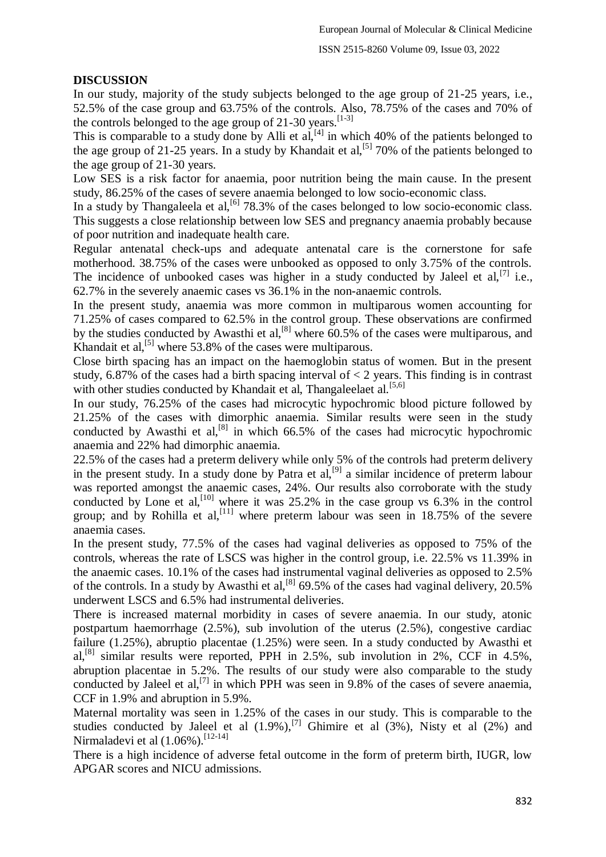#### ISSN 2515-8260 Volume 09, Issue 03, 2022

### **DISCUSSION**

In our study, majority of the study subjects belonged to the age group of 21-25 years, i.e., 52.5% of the case group and 63.75% of the controls. Also, 78.75% of the cases and 70% of the controls belonged to the age group of  $21-30$  years.<sup>[1-3]</sup>

This is comparable to a study done by Alli et al, $[4]$  in which 40% of the patients belonged to the age group of 21-25 years. In a study by Khandait et al,<sup>[5]</sup> 70% of the patients belonged to the age group of 21-30 years.

Low SES is a risk factor for anaemia, poor nutrition being the main cause. In the present study, 86.25% of the cases of severe anaemia belonged to low socio-economic class.

In a study by Thangaleela et al,  $\left[6\right]$  78.3% of the cases belonged to low socio-economic class. This suggests a close relationship between low SES and pregnancy anaemia probably because of poor nutrition and inadequate health care.

Regular antenatal check-ups and adequate antenatal care is the cornerstone for safe motherhood. 38.75% of the cases were unbooked as opposed to only 3.75% of the controls. The incidence of unbooked cases was higher in a study conducted by Jaleel et al,  $[7]$  i.e., 62.7% in the severely anaemic cases vs 36.1% in the non-anaemic controls.

In the present study, anaemia was more common in multiparous women accounting for 71.25% of cases compared to 62.5% in the control group. These observations are confirmed by the studies conducted by Awasthi et al,<sup>[8]</sup> where  $60.5\%$  of the cases were multiparous, and Khandait et al, $^{[5]}$  where 53.8% of the cases were multiparous.

Close birth spacing has an impact on the haemoglobin status of women. But in the present study, 6.87% of the cases had a birth spacing interval of  $\lt 2$  years. This finding is in contrast with other studies conducted by Khandait et al, Thangaleelaet al.<sup>[5,6]</sup>

In our study, 76.25% of the cases had microcytic hypochromic blood picture followed by 21.25% of the cases with dimorphic anaemia. Similar results were seen in the study conducted by Awasthi et al,  $[8]$  in which 66.5% of the cases had microcytic hypochromic anaemia and 22% had dimorphic anaemia.

22.5% of the cases had a preterm delivery while only 5% of the controls had preterm delivery in the present study. In a study done by Patra et  $al$ ,  $[9]$  a similar incidence of preterm labour was reported amongst the anaemic cases, 24%. Our results also corroborate with the study conducted by Lone et al,<sup>[10]</sup> where it was 25.2% in the case group vs  $6.3\%$  in the control group; and by Rohilla et al,<sup>[11]</sup> where preterm labour was seen in 18.75% of the severe anaemia cases.

In the present study, 77.5% of the cases had vaginal deliveries as opposed to 75% of the controls, whereas the rate of LSCS was higher in the control group, i.e. 22.5% vs 11.39% in the anaemic cases. 10.1% of the cases had instrumental vaginal deliveries as opposed to 2.5% of the controls. In a study by Awasthi et al.<sup>[8]</sup> 69.5% of the cases had vaginal delivery, 20.5% underwent LSCS and 6.5% had instrumental deliveries.

There is increased maternal morbidity in cases of severe anaemia. In our study, atonic postpartum haemorrhage (2.5%), sub involution of the uterus (2.5%), congestive cardiac failure (1.25%), abruptio placentae (1.25%) were seen. In a study conducted by Awasthi et al,[8] similar results were reported, PPH in 2.5%, sub involution in 2%, CCF in 4.5%, abruption placentae in 5.2%. The results of our study were also comparable to the study conducted by Jaleel et al,<sup>[7]</sup> in which PPH was seen in 9.8% of the cases of severe anaemia, CCF in 1.9% and abruption in 5.9%.

Maternal mortality was seen in 1.25% of the cases in our study. This is comparable to the studies conducted by Jaleel et al  $(1.9\%)$ , <sup>[7]</sup> Ghimire et al  $(3\%)$ , Nisty et al  $(2\%)$  and Nirmaladevi et al (1.06%).<sup>[12-14]</sup>

There is a high incidence of adverse fetal outcome in the form of preterm birth, IUGR, low APGAR scores and NICU admissions.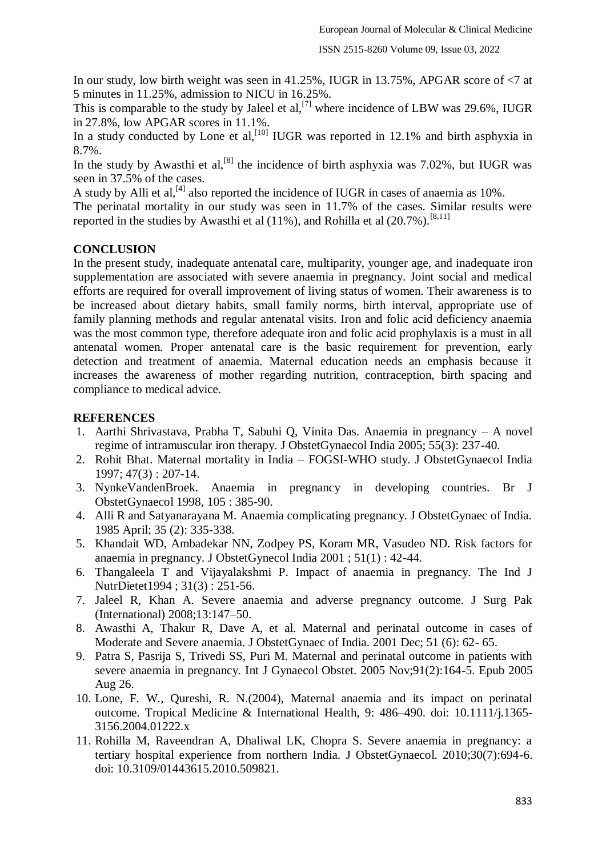In our study, low birth weight was seen in 41.25%, IUGR in 13.75%, APGAR score of  $\leq 7$  at 5 minutes in 11.25%, admission to NICU in 16.25%.

This is comparable to the study by Jaleel et al,<sup>[7]</sup> where incidence of LBW was 29.6%, IUGR in 27.8%, low APGAR scores in 11.1%.

In a study conducted by Lone et al,<sup>[10]</sup> IUGR was reported in 12.1% and birth asphyxia in 8.7%.

In the study by Awasthi et al,<sup>[8]</sup> the incidence of birth asphyxia was 7.02%, but IUGR was seen in 37.5% of the cases.

A study by Alli et al,  $^{[4]}$  also reported the incidence of IUGR in cases of anaemia as 10%.

The perinatal mortality in our study was seen in 11.7% of the cases. Similar results were reported in the studies by Awasthi et al (11%), and Rohilla et al (20.7%).<sup>[8,11]</sup>

### **CONCLUSION**

In the present study, inadequate antenatal care, multiparity, younger age, and inadequate iron supplementation are associated with severe anaemia in pregnancy. Joint social and medical efforts are required for overall improvement of living status of women. Their awareness is to be increased about dietary habits, small family norms, birth interval, appropriate use of family planning methods and regular antenatal visits. Iron and folic acid deficiency anaemia was the most common type, therefore adequate iron and folic acid prophylaxis is a must in all antenatal women. Proper antenatal care is the basic requirement for prevention, early detection and treatment of anaemia. Maternal education needs an emphasis because it increases the awareness of mother regarding nutrition, contraception, birth spacing and compliance to medical advice.

### **REFERENCES**

- 1. Aarthi Shrivastava, Prabha T, Sabuhi Q, Vinita Das. Anaemia in pregnancy A novel regime of intramuscular iron therapy. J ObstetGynaecol India 2005; 55(3): 237-40.
- 2. Rohit Bhat. Maternal mortality in India FOGSI-WHO study. J ObstetGynaecol India 1997; 47(3) : 207-14.
- 3. NynkeVandenBroek. Anaemia in pregnancy in developing countries. Br J ObstetGynaecol 1998, 105 : 385-90.
- 4. Alli R and Satyanarayana M. Anaemia complicating pregnancy. J ObstetGynaec of India. 1985 April; 35 (2): 335-338.
- 5. Khandait WD, Ambadekar NN, Zodpey PS, Koram MR, Vasudeo ND. Risk factors for anaemia in pregnancy. J ObstetGynecol India 2001 ; 51(1) : 42-44.
- 6. Thangaleela T and Vijayalakshmi P. Impact of anaemia in pregnancy. The Ind J NutrDietet1994 ; 31(3) : 251-56.
- 7. Jaleel R, Khan A. Severe anaemia and adverse pregnancy outcome. J Surg Pak (International) 2008;13:147–50.
- 8. Awasthi A, Thakur R, Dave A, et al. Maternal and perinatal outcome in cases of Moderate and Severe anaemia. J ObstetGynaec of India. 2001 Dec; 51 (6): 62- 65.
- 9. Patra S, Pasrija S, Trivedi SS, Puri M. Maternal and perinatal outcome in patients with severe anaemia in pregnancy. Int J Gynaecol Obstet. 2005 Nov;91(2):164-5. Epub 2005 Aug 26.
- 10. Lone, F. W., Qureshi, R. N.(2004), Maternal anaemia and its impact on perinatal outcome. Tropical Medicine & International Health, 9: 486–490. doi: 10.1111/j.1365- 3156.2004.01222.x
- 11. Rohilla M, Raveendran A, Dhaliwal LK, Chopra S. Severe anaemia in pregnancy: a tertiary hospital experience from northern India. J ObstetGynaecol. 2010;30(7):694-6. doi: 10.3109/01443615.2010.509821.